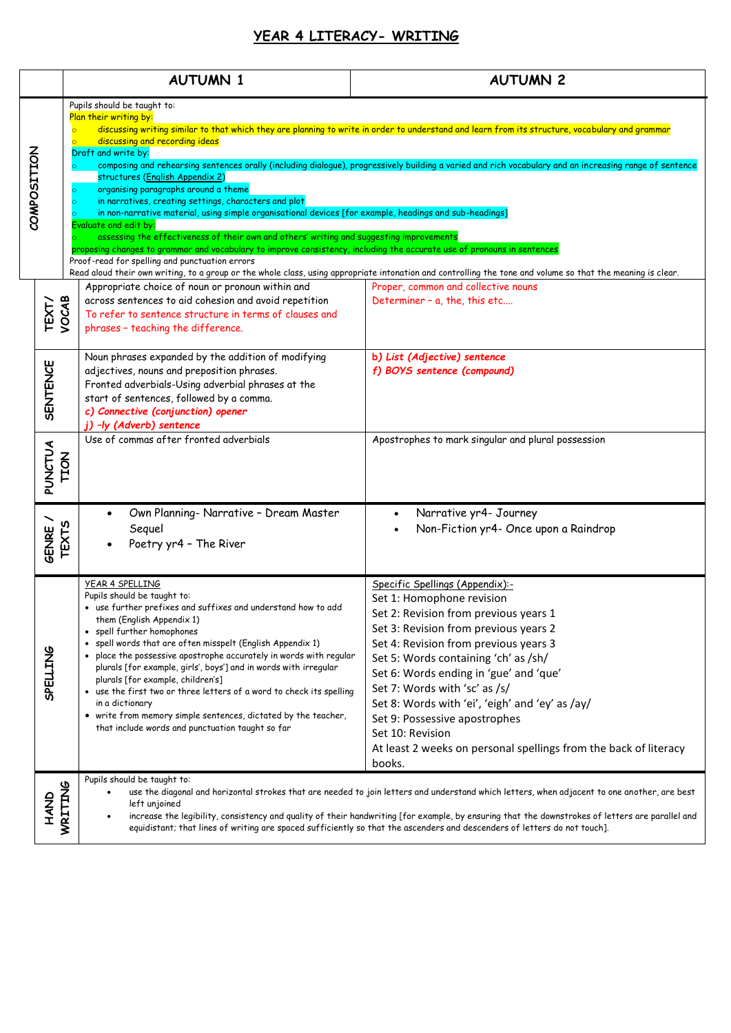## **YEAR 4 LITERACY- WRITING**

|             |                        | <b>AUTUMN 1</b>                                                                                                                                                                                                                                                                                                                                                                                                                                                                                                                                                                                                                                                 | <b>AUTUMN 2</b>                                                                                                                                                                                                                                                                                                                                                                                                                                                                                  |
|-------------|------------------------|-----------------------------------------------------------------------------------------------------------------------------------------------------------------------------------------------------------------------------------------------------------------------------------------------------------------------------------------------------------------------------------------------------------------------------------------------------------------------------------------------------------------------------------------------------------------------------------------------------------------------------------------------------------------|--------------------------------------------------------------------------------------------------------------------------------------------------------------------------------------------------------------------------------------------------------------------------------------------------------------------------------------------------------------------------------------------------------------------------------------------------------------------------------------------------|
| COMPOSITION |                        | Pupils should be taught to:<br>Plan their writing by:<br>discussing and recording ideas<br>Draft and write by:<br>structures (English Appendix 2)<br>organising paragraphs around a theme<br>in narratives, creating settings, characters and plot<br>in non-narrative material, using simple organisational devices [for example, headings and sub-headings]<br>Evaluate and edit by:<br>assessing the effectiveness of their own and others' writing and suggesting improvements<br>proposing changes to grammar and vocabulary to improve consistency, including the accurate use of pronouns in sentences<br>Proof-read for spelling and punctuation errors | discussing writing similar to that which they are planning to write in order to understand and learn from its structure, vocabulary and grammar<br>composing and rehearsing sentences orally (including dialogue), progressively building a varied and rich vocabulary and an increasing range of sentence<br>Read aloud their own writing, to a group or the whole class, using appropriate intonation and controlling the tone and volume so that the meaning is clear.                        |
|             | VOCAB<br>TEXT/         | Appropriate choice of noun or pronoun within and<br>across sentences to aid cohesion and avoid repetition<br>To refer to sentence structure in terms of clauses and<br>phrases - teaching the difference.                                                                                                                                                                                                                                                                                                                                                                                                                                                       | Proper, common and collective nouns<br>Determiner - a, the, this etc                                                                                                                                                                                                                                                                                                                                                                                                                             |
|             | <b>SENTENCE</b>        | Noun phrases expanded by the addition of modifying<br>adjectives, nouns and preposition phrases.<br>Fronted adverbials-Using adverbial phrases at the<br>start of sentences, followed by a comma.<br>c) Connective (conjunction) opener<br>j) -ly (Adverb) sentence                                                                                                                                                                                                                                                                                                                                                                                             | b) List (Adjective) sentence<br>f) BOYS sentence (compound)                                                                                                                                                                                                                                                                                                                                                                                                                                      |
|             | PUNCTUA<br><b>NOTL</b> | Use of commas after fronted adverbials                                                                                                                                                                                                                                                                                                                                                                                                                                                                                                                                                                                                                          | Apostrophes to mark singular and plural possession                                                                                                                                                                                                                                                                                                                                                                                                                                               |
|             | TEXTS<br>GENRE         | Own Planning- Narrative - Dream Master<br>Sequel<br>Poetry yr4 - The River                                                                                                                                                                                                                                                                                                                                                                                                                                                                                                                                                                                      | Narrative yr4- Journey<br>Non-Fiction yr4- Once upon a Raindrop                                                                                                                                                                                                                                                                                                                                                                                                                                  |
|             | <b>SPELLING</b>        | YEAR 4 SPELLING<br>Pupils should be taught to:<br>• use further prefixes and suffixes and understand how to add<br>them (English Appendix 1)<br>• spell further homophones<br>spell words that are often misspelt (English Appendix 1)<br>• place the possessive apostrophe accurately in words with regular<br>plurals [for example, girls', boys'] and in words with irregular<br>plurals [for example, children's]<br>• use the first two or three letters of a word to check its spelling<br>in a dictionary<br>• write from memory simple sentences, dictated by the teacher,<br>that include words and punctuation taught so far                          | Specific Spellings (Appendix):-<br>Set 1: Homophone revision<br>Set 2: Revision from previous years 1<br>Set 3: Revision from previous years 2<br>Set 4: Revision from previous years 3<br>Set 5: Words containing 'ch' as /sh/<br>Set 6: Words ending in 'gue' and 'que'<br>Set 7: Words with 'sc' as /s/<br>Set 8: Words with 'ei', 'eigh' and 'ey' as /ay/<br>Set 9: Possessive apostrophes<br>Set 10: Revision<br>At least 2 weeks on personal spellings from the back of literacy<br>books. |
|             | <b>GNAH</b>            | Pupils should be taught to:<br>WRITING<br>use the diagonal and horizontal strokes that are needed to join letters and understand which letters, when adjacent to one another, are best<br>left unjoined<br>increase the legibility, consistency and quality of their handwriting [for example, by ensuring that the downstrokes of letters are parallel and<br>equidistant; that lines of writing are spaced sufficiently so that the ascenders and descenders of letters do not touch].                                                                                                                                                                        |                                                                                                                                                                                                                                                                                                                                                                                                                                                                                                  |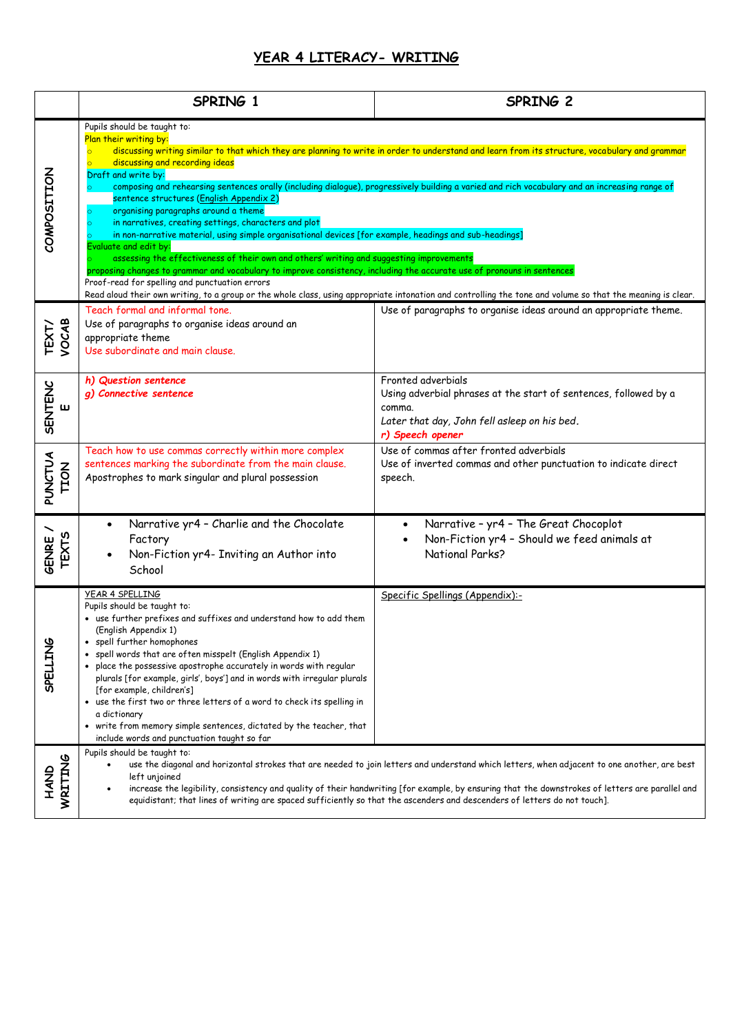## **YEAR 4 LITERACY- WRITING**

|                                                                                                                                                                                                                                                                                                                                                                                                                                                                                                                                                                                                                                                                                                                                                                                                                                                                                                                                                                                                                                                                                                                                                                                              | SPRING 1                                                                                                                                                                                                                                                                                                                                                                                                                                                                                                                                                                                                                             | SPRING 2                                                                                                                                                             |
|----------------------------------------------------------------------------------------------------------------------------------------------------------------------------------------------------------------------------------------------------------------------------------------------------------------------------------------------------------------------------------------------------------------------------------------------------------------------------------------------------------------------------------------------------------------------------------------------------------------------------------------------------------------------------------------------------------------------------------------------------------------------------------------------------------------------------------------------------------------------------------------------------------------------------------------------------------------------------------------------------------------------------------------------------------------------------------------------------------------------------------------------------------------------------------------------|--------------------------------------------------------------------------------------------------------------------------------------------------------------------------------------------------------------------------------------------------------------------------------------------------------------------------------------------------------------------------------------------------------------------------------------------------------------------------------------------------------------------------------------------------------------------------------------------------------------------------------------|----------------------------------------------------------------------------------------------------------------------------------------------------------------------|
| Pupils should be taught to:<br>Plan their writing by:<br>discussing writing similar to that which they are planning to write in order to understand and learn from its structure, vocabulary and grammar<br>$\overline{\circ}$<br>discussing and recording ideas<br>COMPOSITION<br>Draft and write by:<br>composing and rehearsing sentences orally (including dialogue), progressively building a varied and rich vocabulary and an increasing range of<br>sentence structures (English Appendix 2)<br>organising paragraphs around a theme<br>$\circ$<br>in narratives, creating settings, characters and plot<br>in non-narrative material, using simple organisational devices [for example, headings and sub-headings]<br>Evaluate and edit by:<br>assessing the effectiveness of their own and others' writing and suggesting improvements<br>proposing changes to grammar and vocabulary to improve consistency, including the accurate use of pronouns in sentences<br>Proof-read for spelling and punctuation errors<br>Read aloud their own writing, to a group or the whole class, using appropriate intonation and controlling the tone and volume so that the meaning is clear. |                                                                                                                                                                                                                                                                                                                                                                                                                                                                                                                                                                                                                                      |                                                                                                                                                                      |
| VOCAB<br><b>TEXT/</b>                                                                                                                                                                                                                                                                                                                                                                                                                                                                                                                                                                                                                                                                                                                                                                                                                                                                                                                                                                                                                                                                                                                                                                        | Teach formal and informal tone.<br>Use of paragraphs to organise ideas around an<br>appropriate theme<br>Use subordinate and main clause.                                                                                                                                                                                                                                                                                                                                                                                                                                                                                            | Use of paragraphs to organise ideas around an appropriate theme.                                                                                                     |
| <b>SENTENC</b><br>$\mathbf{u}$                                                                                                                                                                                                                                                                                                                                                                                                                                                                                                                                                                                                                                                                                                                                                                                                                                                                                                                                                                                                                                                                                                                                                               | h) Question sentence<br>g) Connective sentence                                                                                                                                                                                                                                                                                                                                                                                                                                                                                                                                                                                       | Fronted adverbials<br>Using adverbial phrases at the start of sentences, followed by a<br>comma.<br>Later that day, John fell asleep on his bed.<br>r) Speech opener |
| <b>PUNCTUA</b><br><b>TION</b>                                                                                                                                                                                                                                                                                                                                                                                                                                                                                                                                                                                                                                                                                                                                                                                                                                                                                                                                                                                                                                                                                                                                                                | Teach how to use commas correctly within more complex<br>sentences marking the subordinate from the main clause.<br>Apostrophes to mark singular and plural possession                                                                                                                                                                                                                                                                                                                                                                                                                                                               | Use of commas after fronted adverbials<br>Use of inverted commas and other punctuation to indicate direct<br>speech.                                                 |
| GENRE /<br><b>TEXTS</b>                                                                                                                                                                                                                                                                                                                                                                                                                                                                                                                                                                                                                                                                                                                                                                                                                                                                                                                                                                                                                                                                                                                                                                      | Narrative yr4 - Charlie and the Chocolate<br>٠<br>Factory<br>Non-Fiction yr4- Inviting an Author into<br>School                                                                                                                                                                                                                                                                                                                                                                                                                                                                                                                      | Narrative - yr4 - The Great Chocoplot<br>$\bullet$<br>Non-Fiction yr4 - Should we feed animals at<br>National Parks?                                                 |
| <b>SPELLING</b>                                                                                                                                                                                                                                                                                                                                                                                                                                                                                                                                                                                                                                                                                                                                                                                                                                                                                                                                                                                                                                                                                                                                                                              | YEAR 4 SPELLING<br>Pupils should be taught to:<br>• use further prefixes and suffixes and understand how to add them<br>(English Appendix 1)<br>spell further homophones<br>spell words that are often misspelt (English Appendix 1)<br>• place the possessive apostrophe accurately in words with regular<br>plurals [for example, girls', boys'] and in words with irregular plurals<br>[for example, children's]<br>• use the first two or three letters of a word to check its spelling in<br>a dictionary<br>• write from memory simple sentences, dictated by the teacher, that<br>include words and punctuation taught so far | Specific Spellings (Appendix):-                                                                                                                                      |
| WRITING<br><b>AND</b>                                                                                                                                                                                                                                                                                                                                                                                                                                                                                                                                                                                                                                                                                                                                                                                                                                                                                                                                                                                                                                                                                                                                                                        | Pupils should be taught to:<br>use the diagonal and horizontal strokes that are needed to join letters and understand which letters, when adjacent to one another, are best<br>left unjoined<br>increase the legibility, consistency and quality of their handwriting [for example, by ensuring that the downstrokes of letters are parallel and<br>equidistant; that lines of writing are spaced sufficiently so that the ascenders and descenders of letters do not touch].                                                                                                                                                        |                                                                                                                                                                      |